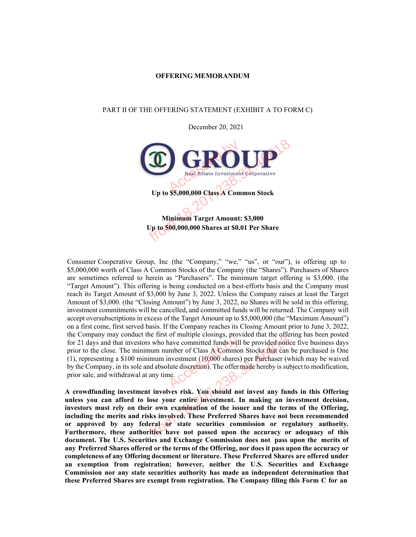#### **OFFERING MEMORANDUM**

#### PART II OF THE OFFERING STATEMENT (EXHIBIT A TO FORM C)

December 20, 2021



Consumer Cooperative Group, Inc (the "Company," "we," "us", or "our"), is offering up to \$5,000,000 worth of Class A Common Stocks of the Company (the "Shares"). Purchasers of Shares are sometimes referred to herein as "Purchasers". The minimum target offering is \$3,000. (the "Target Amount"). This offering is being conducted on a best-efforts basis and the Company must reach its Target Amount of \$3,000 by June 3, 2022. Unless the Company raises at least the Target Amount of \$3,000. (the "Closing Amount") by June 3, 2022, no Shares will be sold in this offering, investment commitments will be cancelled, and committed funds will be returned. The Company will accept oversubscriptions in excess of the Target Amount up to \$5,000,000 (the "Maximum Amount") on a first come, first served basis. If the Company reaches its Closing Amount prior to June 3, 2022, the Company may conduct the first of multiple closings, provided that the offering has been posted for 21 days and that investors who have committed funds will be provided notice five business days prior to the close. The minimum number of Class A Common Stocks that can be purchased is One (1), representing a \$100 minim prior to the close. The minimum number of Class A Common Stocks that can be purchased is One (1), representing a \$100 minimum investment  $(10,000)$  shares) per Purchaser (which may be waived by the Company, in its sole and absolute discretion). The offer made hereby is subject to modification, prior sale, and withdrawal at any time.

**A crowdfunding investment involves risk. You should not invest any funds in this Offering unless you can afford to lose your entire investment. In making an investment decision, investors must rely on their own examination of the issuer and the terms of the Offering, including the merits and risks involved. These Preferred Shares have not been recommended or approved by any federal or state securities commission or regulatory authority. Furthermore, these authorities have not passed upon the accuracy or adequacy of this document. The U.S. Securities and Exchange Commission does not pass upon the merits of any Preferred Shares offered or the terms of the Offering, nor does it pass upon the accuracy or completeness of any Offering document or literature. These Preferred Shares are offered under an exemption from registration; however, neither the U.S. Securities and Exchange Commission nor any state securities authority has made an independent determination that these Preferred Shares are exempt from registration. The Company filing this Form C for an**  onduct the first of multiple closings, provided that the one<br>investors who have committed funds will be provided notice<br>the minimum number of Class A Common Stocks that can<br>100 minimum investment (10,000 shares) per Purcha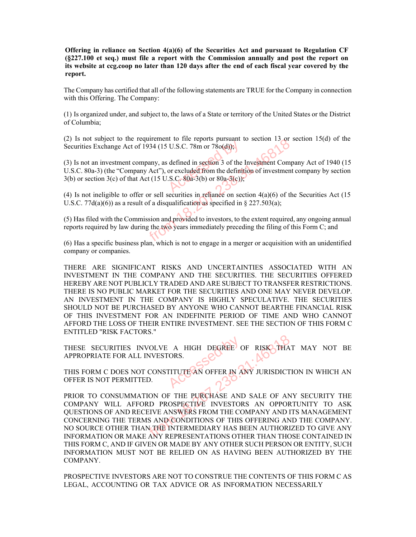**Offering in reliance on Section 4(a)(6) of the Securities Act and pursuant to Regulation CF (§227.100 et seq.) must file a report with the Commission annually and post the report on its website at ccg.coop no later than 120 days after the end of each fiscal year covered by the report.** 

The Company has certified that all of the following statements are TRUE for the Company in connection with this Offering. The Company:

(1) Is organized under, and subject to, the laws of a State or territory of the United States or the District of Columbia;

(2) Is not subject to the requirement to file reports pursuant to section 13 or section 15(d) of the Securities Exchange Act of 1934 (15 U.S.C. 78m or 78o(d));

(3) Is not an investment company, as defined in section 3 of the Investment Company Act of 1940 (15 U.S.C. 80a-3) (the "Company Act"), or excluded from the definition of investment company by section  $3(b)$  or section  $3(c)$  of that Act (15 U.S.C.  $80a-3(b)$  or  $80a-3(c)$ ); U.S.C. 78m or 78o(d));<br>defined in section 3 of the<br>or excluded from the definit.<br>S.C. 80a-3(b) or 80a-3(c)): The requirement to the reports pursuant to section 18.20<br>Act of 1934 (15 U.S.C. 78m or 78o(d));<br>nnt company, as defined in section 3 of the Investment Comp<br>ompany Act"), or excluded from the definition of investment<br>f tha

(4) Is not ineligible to offer or sell securities in reliance on section  $4(a)(6)$  of the Securities Act (15) U.S.C. 77 $d(a)(6)$  as a result of a disqualification as specified in § 227.503(a);

(5) Has filed with the Commission and provided to investors, to the extent required, any ongoing annual reports required by law during the two years immediately preceding the filing of this Form C; and

(6) Has a specific business plan, which is not to engage in a merger or acquisition with an unidentified company or companies.

THERE ARE SIGNIFICANT RISKS AND UNCERTAINTIES ASSOCIATED WITH AN INVESTMENT IN THE COMPANY AND THE SECURITIES. THE SECURITIES OFFERED HEREBY ARE NOT PUBLICLY TRADED AND ARE SUBJECT TO TRANSFER RESTRICTIONS. THERE IS NO PUBLIC MARKET FOR THE SECURITIES AND ONE MAY NEVER DEVELOP. AN INVESTMENT IN THE COMPANY IS HIGHLY SPECULATIVE. THE SECURITIES SHOULD NOT BE PURCHASED BY ANYONE WHO CANNOT BEARTHE FINANCIAL RISK OF THIS INVESTMENT FOR AN INDEFINITE PERIOD OF TIME AND WHO CANNOT AFFORD THE LOSS OF THEIR ENTIRE INVESTMENT. SEE THE SECTION OF THIS FORM C ENTITLED "RISK FACTORS."

THESE SECURITIES INVOLVE A HIGH DEGREE OF RISK THAT MAY NOT BE APPROPRIATE FOR ALL INVESTORS. A HIGH DEGREE

THIS FORM C DOES NOT CONSTITUTE AN OFFER IN ANY JURISDICTION IN WHICH AN OFFER IS NOT PERMITTED.

PRIOR TO CONSUMMATION OF THE PURCHASE AND SALE OF ANY SECURITY THE COMPANY WILL AFFORD PROSPECTIVE INVESTORS AN OPPORTUNITY TO ASK QUESTIONS OF AND RECEIVE ANSWERS FROM THE COMPANY AND ITS MANAGEMENT CONCERNING THE TERMS AND CONDITIONS OF THIS OFFERING AND THE COMPANY. NO SOURCE OTHER THAN THE INTERMEDIARY HAS BEEN AUTHORIZED TO GIVE ANY INFORMATION OR MAKE ANY REPRESENTATIONS OTHER THAN THOSE CONTAINED IN THIS FORM C, AND IF GIVEN OR MADE BY ANY OTHER SUCH PERSON OR ENTITY, SUCH INFORMATION MUST NOT BE RELIED ON AS HAVING BEEN AUTHORIZED BY THE COMPANY. FROM AND CONSTITUTE AN OFFER IN ANY JURISDICT<br>SEX NOT CONSTITUTE AN OFFER IN ANY JURISDICT<br>MITTED.<br>MMATION OF THE PURCHASE AND SALE OF AN<br>AFFORD PROSPECTIVE INVESTORS AN OPPOR<br>DRECEIVE ANSWERS FROM THE COMPANY AND I<br>TERMS

PROSPECTIVE INVESTORS ARE NOT TO CONSTRUE THE CONTENTS OF THIS FORM C AS LEGAL, ACCOUNTING OR TAX ADVICE OR AS INFORMATION NECESSARILY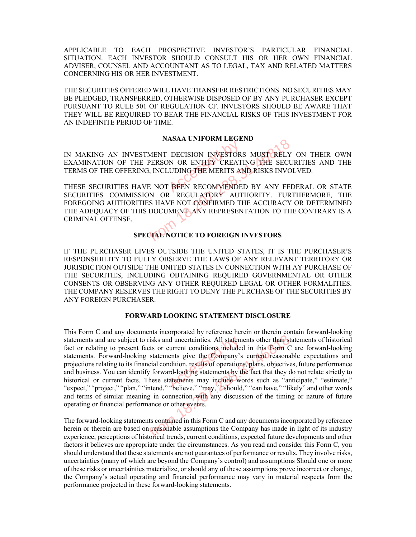APPLICABLE TO EACH PROSPECTIVE INVESTOR'S PARTICULAR FINANCIAL SITUATION. EACH INVESTOR SHOULD CONSULT HIS OR HER OWN FINANCIAL ADVISER, COUNSEL AND ACCOUNTANT AS TO LEGAL, TAX AND RELATED MATTERS CONCERNING HIS OR HER INVESTMENT.

THE SECURITIES OFFERED WILL HAVE TRANSFER RESTRICTIONS. NO SECURITIES MAY BE PLEDGED, TRANSFERRED, OTHERWISE DISPOSED OF BY ANY PURCHASER EXCEPT PURSUANT TO RULE 501 OF REGULATION CF. INVESTORS SHOULD BE AWARE THAT THEY WILL BE REQUIRED TO BEAR THE FINANCIAL RISKS OF THIS INVESTMENT FOR AN INDEFINITE PERIOD OF TIME.

#### **NASAA UNIFORM LEGEND**

IN MAKING AN INVESTMENT DECISION INVESTORS MUST RELY ON THEIR OWN EXAMINATION OF THE PERSON OR ENTITY CREATING THE SECURITIES AND THE TERMS OF THE OFFERING, INCLUDING THE MERITS AND RISKS INVOLVED. IN MAKING AN INVESTMENT DECISION INVESTORS MUST RELY ON THEIR OWN EXAMINATION OF THE PERSON OR ENTITY CREATING THE SECURITIES AND THE TERMS OF THE OFFERING, INCLUDING THE MERITS AND RISKS INVOLVED.

SECURITIES COMMISSION OR REGULATORY AUTHORITY. FURTHERMORE, THE FOREGOING AUTHORITIES HAVE NOT CONFIRMED THE ACCURACY OR DETERMINED THE ADEQUACY OF THIS DOCUMENT. ANY REPRESENTATION TO THE CONTRARY IS A CRIMINAL OFFENSE. NASAA UNIFORM EGEND<br>
NVESTMENT DECISION INVESTORS MUST RELY<br>
FERING, INCLUDING THE MERITS AND RISKS INVO<br>
S HAVE NOT BEEN RECOMMENDED BY ANY FEI<br>
MISSION OR REGULATORY AUTHORITY. FUR<br>
IORITIES HAVE NOT CONFIRMED THE ACCURA

#### **SPECIAL NOTICE TO FOREIGN INVESTORS**

IF THE PURCHASER LIVES OUTSIDE THE UNITED STATES, IT IS THE PURCHASER'S RESPONSIBILITY TO FULLY OBSERVE THE LAWS OF ANY RELEVANT TERRITORY OR JURISDICTION OUTSIDE THE UNITED STATES IN CONNECTION WITH AY PURCHASE OF THE SECURITIES, INCLUDING OBTAINING REQUIRED GOVERNMENTAL OR OTHER CONSENTS OR OBSERVING ANY OTHER REQUIRED LEGAL OR OTHER FORMALITIES. THE COMPANY RESERVES THE RIGHT TO DENY THE PURCHASE OF THE SECURITIES BY ANY FOREIGN PURCHASER.

#### **FORWARD LOOKING STATEMENT DISCLOSURE**

This Form C and any documents incorporated by reference herein or therein contain forward-looking statements and are subject to risks and uncertainties. All statements other than statements of historical fact or relating to present facts or current conditions included in this Form C are forward-looking statements. Forward-looking statements give the Company's current reasonable expectations and projections relating to its financial condition, results of operations, plans, objectives, future performance and business. You can identify forward-looking statements by the fact that they do not relate strictly to statements and are subject to risks and uncertainties. All statements other than statements of historical fact or relating to present facts or current conditions included in this Form C are forward-looking statements. Forw "expect," "project," "plan," "intend," "believe," "may," "should," "can have," "likely" and other words and terms of similar meaning in connection with any discussion of the timing or nature of future operating or financial performance or other events. bject to risks and uncertainties. All statements other than stesent facts or current conditions included in this Form Clooking statements give the Company's current reasonal its financial condition, results of operations,

The forward-looking statements contained in this Form C and any documents incorporated by reference herein or therein are based on reasonable assumptions the Company has made in light of its industry experience, perceptions of historical trends, current conditions, expected future developments and other factors it believes are appropriate under the circumstances. As you read and consider this Form C, you should understand that these statements are not guarantees of performance or results. They involve risks, uncertainties (many of which are beyond the Company's control) and assumptions Should one or more of these risks or uncertainties materialize, or should any of these assumptions prove incorrect or change, the Company's actual operating and financial performance may vary in material respects from the performance projected in these forward-looking statements.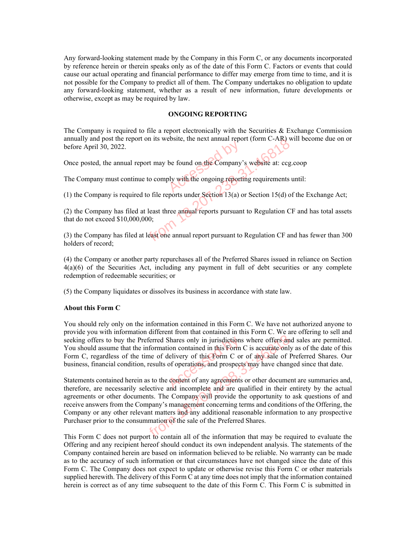Any forward-looking statement made by the Company in this Form C, or any documents incorporated by reference herein or therein speaks only as of the date of this Form C. Factors or events that could cause our actual operating and financial performance to differ may emerge from time to time, and it is not possible for the Company to predict all of them. The Company undertakes no obligation to update any forward-looking statement, whether as a result of new information, future developments or otherwise, except as may be required by law.

#### **ONGOING REPORTING**

The Company is required to file a report electronically with the Securities  $\&$  Exchange Commission annually and post the report on its website, the next annual report (form C-AR) will become due on or before April 30, 2022. be found on the Company

Once posted, the annual report may be found on the Company's website at: ccg.coop

The Company must continue to comply with the ongoing reporting requirements until:

(1) the Company is required to file reports under Section 13(a) or Section 15(d) of the Exchange Act;

(2) the Company has filed at least three annual reports pursuant to Regulation CF and has total assets that do not exceed \$10,000,000; From 18. Website, the next annual report (form C-AR) with the only with the only and report in the company's website at: ccg.<br>
ontinue to comply with the ongoing reporting requirements is<br>
quired to file reports under Sect

(3) the Company has filed at least one annual report pursuant to Regulation CF and has fewer than 300 holders of record;

(4) the Company or another party repurchases all of the Preferred Shares issued in reliance on Section 4(a)(6) of the Securities Act, including any payment in full of debt securities or any complete redemption of redeemable securities; or

(5) the Company liquidates or dissolves its business in accordance with state law.

#### **About this Form C**

You should rely only on the information contained in this Form C. We have not authorized anyone to provide you with information different from that contained in this Form C. We are offering to sell and seeking offers to buy the Preferred Shares only in jurisdictions where offers and sales are permitted. You should assume that the information contained in this Form C is accurate only as of the date of this Form C, regardless of the time of delivery of this Form C or of any sale of Preferred Shares. Our business, financial condition, results of operations, and prospects may have changed since that date. Statements contained herein as to the content of any agreements or other document are summaries and the setting<br>Statements contained herein as to the content of any agreements or other document are summaries and,<br>therefore

therefore, are necessarily selective and incomplete and are qualified in their entirety by the actual agreements or other documents. The Company will provide the opportunity to ask questions of and receive answers from the Company's management concerning terms and conditions of the Offering, the Company or any other relevant matters and any additional reasonable information to any prospective Purchaser prior to the consummation of the sale of the Preferred Shares. the Preferred Shares only in jurisdictions where offers and the information contained in this Form C is accurate only of the time of delivery of this Form C or of any sale of limit of modition, results of operations, and p

This Form C does not purport to contain all of the information that may be required to evaluate the Offering and any recipient hereof should conduct its own independent analysis. The statements of the Company contained herein are based on information believed to be reliable. No warranty can be made as to the accuracy of such information or that circumstances have not changed since the date of this Form C. The Company does not expect to update or otherwise revise this Form C or other materials supplied herewith. The delivery of this Form C at any time does not imply that the information contained herein is correct as of any time subsequent to the date of this Form C. This Form C is submitted in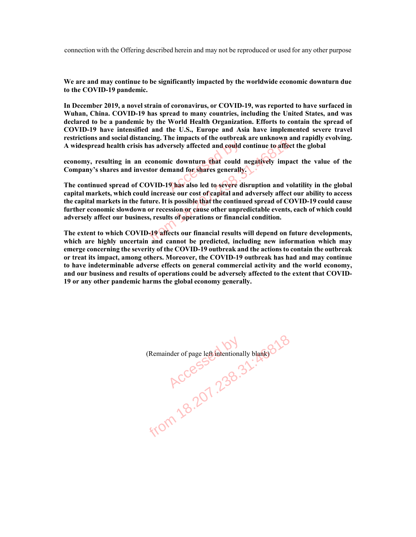connection with the Offering described herein and may not be reproduced or used for any other purpose

**We are and may continue to be significantly impacted by the worldwide economic downturn due to the COVID-19 pandemic.** 

**In December 2019, a novel strain of coronavirus, or COVID-19, was reported to have surfaced in Wuhan, China. COVID-19 has spread to many countries, including the United States, and was declared to be a pandemic by the World Health Organization. Efforts to contain the spread of COVID-19 have intensified and the U.S., Europe and Asia have implemented severe travel restrictions and social distancing. The impacts of the outbreak are unknown and rapidly evolving.** 

A widespread health crisis has adversely affected and could continue to affect the global<br>
economy, resulting in an economic downturn that could negatively impact the value<br>
Company's shares and investor demand for shares **economy, resulting in an economic downturn that could negatively impact the value of the Company's shares and investor demand for shares generally.** 

**The continued spread of COVID-19 has also led to severe disruption and volatility in the global capital markets, which could increase our cost of capital and adversely affect our ability to access the capital markets in the future. It is possible that the continued spread of COVID-19 could cause further economic slowdown or recession or cause other unpredictable events, each of which could adversely affect our business, results of operations or financial condition.**  From 18.2010 and 2010 to the COVID-19 outbreak are distinction and<br>terms in an economic downturn that could negatively impaid<br>in an economic downturn that could negatively impaid<br>in the formal for shares generally.<br>And of

**The extent to which COVID-19 affects our financial results will depend on future developments, which are highly uncertain and cannot be predicted, including new information which may emerge concerning the severity of the COVID-19 outbreak and the actions to contain the outbreak or treat its impact, among others. Moreover, the COVID-19 outbreak has had and may continue to have indeterminable adverse effects on general commercial activity and the world economy, and our business and results of operations could be adversely affected to the extent that COVID-19 or any other pandemic harms the global economy generally.** 

(Remainder of page left intentionally blank) Remainder of page left intentionally blanks 318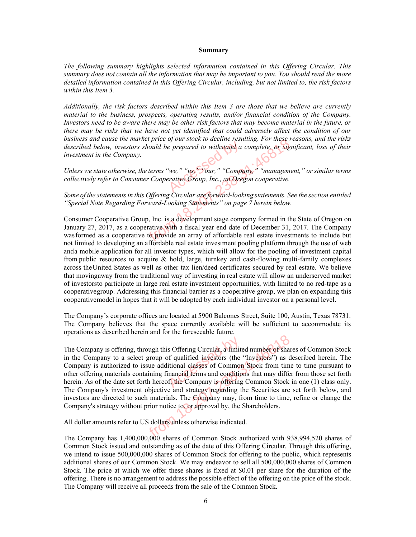#### **Summary**

*The following summary highlights selected information contained in this Offering Circular. This summary does not contain all the information that may be important to you. You should read the more detailed information contained in this Offering Circular, including, but not limited to, the risk factors within this Item 3.* 

*Additionally, the risk factors described within this Item 3 are those that we believe are currently material to the business, prospects, operating results, and/or financial condition of the Company. Investors need to be aware there may be other risk factors that may become material in the future, or there may be risks that we have not yet identified that could adversely affect the condition of our business and cause the market price of our stock to decline resulting. For these reasons, and the risks described below, investors should be prepared to withstand a complete, or significant, loss of their investment in the Company.* 

*Unless we state otherwise, the terms "we," "us," "our," "Company," "management," or similar terms collectively refer to Consumer Cooperative Group, Inc., an Oregon cooperative.* 

*Some of the statements in this Offering Circular are forward-looking statements. See the section entitled "Special Note Regarding Forward-Looking Statements" on page 7 herein below.* 

Consumer Cooperative Group, Inc. is a development stage company formed in the State of Oregon on January 27, 2017, as a cooperative with a fiscal year end date of December 31, 2017. The Company was formed as a cooperative to provide an array of affordable real estate investments to include but not limited to developing an affordable real estate investment pooling platform through the use of web and a mobile application for all investor types, which will allow for the pooling of investment capital from public resources to acquire & hold, large, turnkey and cash-flowing multi-family complexes across the United States as well as other tax lien/deed certificates secured by real estate. We believe that moving away from the traditional way of investing in real estate will allow an underserved market of investors to participate in large real estate investment opportunities, with limited to no red-tape as a cooperative group. Addressing this financial barrier as a cooperative group, we plan on expanding this cooperative model in hopes that it will be adopted by each individual investor on a personal level. For these price of our stock to decline resulting. For these restors should be prepared to withstand a complete, or sign<br>pany.<br>wise, the terms "we," "us, "Four," "Company," "manageme<br>consumer Cooperative Group, Inc., an Or

The Company's corporate offices are located at 5900 Balcones Street, Suite 100, Austin, Texas 78731. The Company believes that the space currently available will be sufficient to accommodate its operations as described herein and for the foreseeable future.

The Company is offering, through this Offering Circular, a limited number of shares of Common Stock in the Company to a select group of qualified investors (the "Investors") as described herein. The Company is authorized to issue additional classes of Common Stock from time to time pursuant to other offering materials containing financial terms and conditions that may differ from those set forth herein. As of the date set forth hereof, the Company is offering Common Stock in one (1) class only. The Company's investment objective and strategy regarding the Securities are set forth below, and investors are directed to such materials. The Company may, from time to time, refine or change the Company's strategy without prior notice to, or approval by, the Shareholders. s Offering Circular, a limite<br>of qualified investors (the<br>itional classes of Common<br>inancial terms and condition ing, through this Offering Circular, a limited number of share<br>select group of qualified investors (the "Investors") as c<br>ed to issue additional classes of Common Stock from tim<br>ls containing financial terms and conditions

All dollar amounts refer to US dollars unless otherwise indicated.

The Company has 1,400,000,000 shares of Common Stock authorized with 938,994,520 shares of Common Stock issued and outstanding as of the date of this Offering Circular. Through this offering, we intend to issue 500,000,000 shares of Common Stock for offering to the public, which represents additional shares of our Common Stock. We may endeavor to sell all 500,000,000 shares of Common Stock. The price at which we offer these shares is fixed at \$0.01 per share for the duration of the offering. There is no arrangement to address the possible effect of the offering on the price of the stock. The Company will receive all proceeds from the sale of the Common Stock.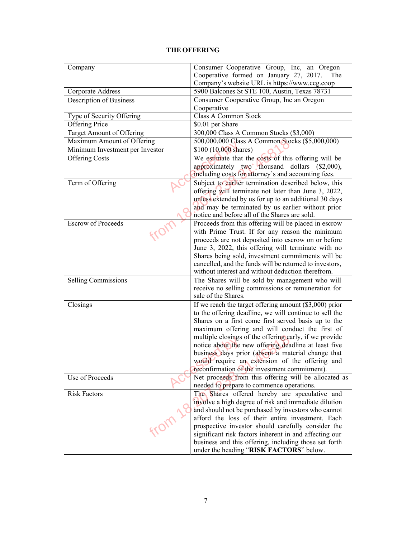| Company                         | Consumer Cooperative Group, Inc, an Oregon<br>Cooperative formed on January 27, 2017.<br>The                  |  |  |  |
|---------------------------------|---------------------------------------------------------------------------------------------------------------|--|--|--|
| Corporate Address               | Company's website URL is https://www.ccg.coop<br>5900 Balcones St STE 100, Austin, Texas 78731                |  |  |  |
| Description of Business         | Consumer Cooperative Group, Inc an Oregon                                                                     |  |  |  |
|                                 | Cooperative                                                                                                   |  |  |  |
| Type of Security Offering       | <b>Class A Common Stock</b>                                                                                   |  |  |  |
| <b>Offering Price</b>           | \$0.01 per Share                                                                                              |  |  |  |
| Target Amount of Offering       | 300,000 Class A Common Stocks (\$3,000)                                                                       |  |  |  |
| Maximum Amount of Offering      | 500,000,000 Class A Common Stocks (\$5,000,000)                                                               |  |  |  |
| Minimum Investment per Investor | \$100 (10,000 shares)                                                                                         |  |  |  |
| <b>Offering Costs</b>           | We estimate that the costs of this offering will be                                                           |  |  |  |
|                                 | approximately two thousand dollars (\$2,000),                                                                 |  |  |  |
|                                 | including costs for attorney's and accounting fees.                                                           |  |  |  |
| Term of Offering                | Subject to earlier termination described below, this                                                          |  |  |  |
|                                 | offering will terminate not later than June 3, 2022,<br>unless extended by us for up to an additional 30 days |  |  |  |
|                                 | and may be terminated by us earlier without prior                                                             |  |  |  |
|                                 | notice and before all of the Shares are sold.                                                                 |  |  |  |
| <b>Escrow of Proceeds</b>       | Proceeds from this offering will be placed in escrow                                                          |  |  |  |
|                                 | with Prime Trust. If for any reason the minimum                                                               |  |  |  |
|                                 | proceeds are not deposited into escrow on or before                                                           |  |  |  |
|                                 | June 3, 2022, this offering will terminate with no                                                            |  |  |  |
|                                 | Shares being sold, investment commitments will be                                                             |  |  |  |
|                                 | cancelled, and the funds will be returned to investors,                                                       |  |  |  |
|                                 | without interest and without deduction therefrom.                                                             |  |  |  |
| Selling Commissions             | The Shares will be sold by management who will                                                                |  |  |  |
|                                 | receive no selling commissions or remuneration for                                                            |  |  |  |
|                                 | sale of the Shares.                                                                                           |  |  |  |
| Closings                        | If we reach the target offering amount $(\$3,000)$ prior                                                      |  |  |  |
|                                 | to the offering deadline, we will continue to sell the                                                        |  |  |  |
|                                 | Shares on a first come first served basis up to the<br>maximum offering and will conduct the first of         |  |  |  |
|                                 | multiple closings of the offering early, if we provide                                                        |  |  |  |
|                                 | notice about the new offering deadline at least five                                                          |  |  |  |
|                                 | business days prior (absent a material change that                                                            |  |  |  |
|                                 | would require an extension of the offering and                                                                |  |  |  |
|                                 | reconfirmation of the investment commitment).                                                                 |  |  |  |
| Use of Proceeds                 | Net proceeds from this offering will be allocated as                                                          |  |  |  |
|                                 | needed to prepare to commence operations.                                                                     |  |  |  |
| <b>Risk Factors</b>             | The Shares offered hereby are speculative and                                                                 |  |  |  |
|                                 | involve a high degree of risk and immediate dilution                                                          |  |  |  |
|                                 | and should not be purchased by investors who cannot                                                           |  |  |  |
|                                 | afford the loss of their entire investment. Each                                                              |  |  |  |
|                                 | prospective investor should carefully consider the                                                            |  |  |  |
|                                 | significant risk factors inherent in and affecting our                                                        |  |  |  |
|                                 | business and this offering, including those set forth<br>under the heading "RISK FACTORS" below.              |  |  |  |
|                                 |                                                                                                               |  |  |  |

## **THE OFFERING**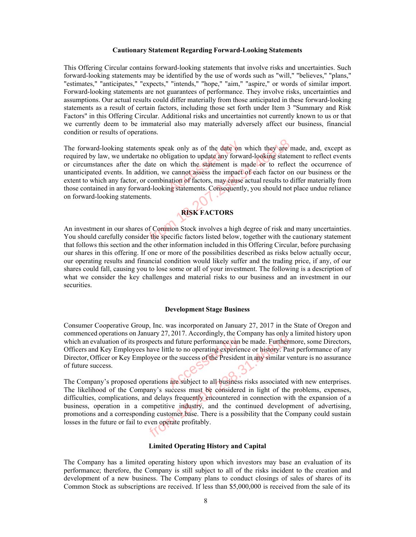#### **Cautionary Statement Regarding Forward-Looking Statements**

This Offering Circular contains forward-looking statements that involve risks and uncertainties. Such forward-looking statements may be identified by the use of words such as "will," "believes," "plans," "estimates," "anticipates," "expects," "intends," "hope," "aim," "aspire," or words of similar import. Forward-looking statements are not guarantees of performance. They involve risks, uncertainties and assumptions. Our actual results could differ materially from those anticipated in these forward-looking statements as a result of certain factors, including those set forth under Item 3 "Summary and Risk Factors" in this Offering Circular. Additional risks and uncertainties not currently known to us or that we currently deem to be immaterial also may materially adversely affect our business, financial condition or results of operations.

The forward-looking statements speak only as of the date on which they are made, and, except as required by law, we undertake no obligation to update any forward-looking statement to reflect events or circumstances after the date on which the statement is made or to reflect the occurrence of unanticipated events. In addition, we cannot assess the impact of each factor on our business or the extent to which any factor, or combination of factors, may cause actual results to differ materially from those contained in any forward-looking statements. Consequently, you should not place undue reliance on forward-looking statements. ak only as of the date on<br>ligation to update any forw<br>which the statement is r<br>e cannot assess the impact<br>ation of factors, may cause<br>mg statements. Consequentl statements speak only as of the date on which they are numerate the date on obligation to update any forward-looking statement er the date on which the statement is made or to reflect In addition, we cannot assess the impa



An investment in our shares of Common Stock involves a high degree of risk and many uncertainties. You should carefully consider the specific factors listed below, together with the cautionary statement that follows this section and the other information included in this Offering Circular, before purchasing our shares in this offering. If one or more of the possibilities described as risks below actually occur, our operating results and financial condition would likely suffer and the trading price, if any, of our shares could fall, causing you to lose some or all of your investment. The following is a description of what we consider the key challenges and material risks to our business and an investment in our securities.

#### **Development Stage Business**

Consumer Cooperative Group, Inc. was incorporated on January 27, 2017 in the State of Oregon and commenced operations on January 27, 2017. Accordingly, the Company has only a limited history upon which an evaluation of its prospects and future performance can be made. Furthermore, some Directors, Officers and Key Employees have little to no operating experience or history. Past performance of any Director, Officer or Key Employee or the success of the President in any similar venture is no assurance of future success. Access of the President Research<br>the success of the President<br>are subject to all business

The Company's proposed operations are subject to all business risks associated with new enterprises. The likelihood of the Company's success must be considered in light of the problems, expenses, difficulties, complications, and delays frequently encountered in connection with the expansion of a business, operation in a competitive industry, and the continued development of advertising, promotions and a corresponding customer base. There is a possibility that the Company could sustain losses in the future or fail to even operate profitably. From 18.2017. Accordingly, the company has only a<br>some shows it is prospects and future performance can be made. Further<br>ployees have little to no operating experience or history. Par<br>ey Employee or the success of the Pres

#### **Limited Operating History and Capital**

The Company has a limited operating history upon which investors may base an evaluation of its performance; therefore, the Company is still subject to all of the risks incident to the creation and development of a new business. The Company plans to conduct closings of sales of shares of its Common Stock as subscriptions are received. If less than \$5,000,000 is received from the sale of its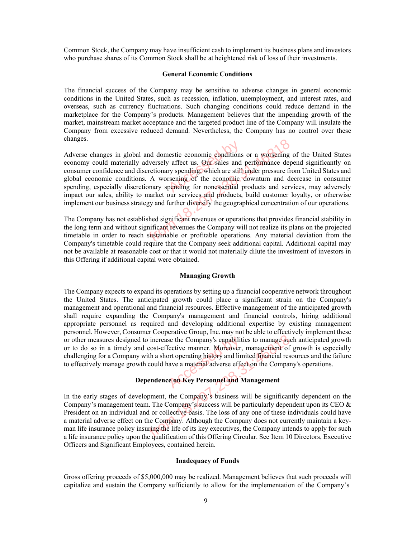Common Stock, the Company may have insufficient cash to implement its business plans and investors who purchase shares of its Common Stock shall be at heightened risk of loss of their investments.

#### **General Economic Conditions**

The financial success of the Company may be sensitive to adverse changes in general economic conditions in the United States, such as recession, inflation, unemployment, and interest rates, and overseas, such as currency fluctuations. Such changing conditions could reduce demand in the marketplace for the Company's products. Management believes that the impending growth of the market, mainstream market acceptance and the targeted product line of the Company will insulate the Company from excessive reduced demand. Nevertheless, the Company has no control over these changes.

Adverse changes in global and domestic economic conditions or a worsening of the United States economy could materially adversely affect us. Our sales and performance depend significantly on consumer confidence and discretionary spending, which are still under pressure from United States and global economic conditions. A worsening of the economic downturn and decrease in consumer spending, especially discretionary spending for nonessential products and services, may adversely impact our sales, ability to market our services and products, build customer loyalty, or otherwise implement our business strategy and further diversify the geographical concentration of our operations. nestic economic conditions<br>
The affect us. Our sales and<br>
ty spending, which are still<br>
rsening of the economic<br>
pending for nonessential global and domestic economic conditions or a worsening<br>rially adversely affect us. Our sales and performance dep<br>and discretionary spending, which are still under pressure frequency<br>ditions. A worsening of the economic dow

The Company has not established significant revenues or operations that provides financial stability in the long term and without significant revenues the Company will not realize its plans on the projected timetable in order to reach sustainable or profitable operations. Any material deviation from the Company's timetable could require that the Company seek additional capital. Additional capital may not be available at reasonable cost or that it would not materially dilute the investment of investors in this Offering if additional capital were obtained.

#### **Managing Growth**

The Company expects to expand its operations by setting up a financial cooperative network throughout the United States. The anticipated growth could place a significant strain on the Company's management and operational and financial resources. Effective management of the anticipated growth shall require expanding the Company's management and financial controls, hiring additional appropriate personnel as required and developing additional expertise by existing management personnel. However, Consumer Cooperative Group, Inc. may not be able to effectively implement these or other measures designed to increase the Company's capabilities to manage such anticipated growth or to do so in a timely and cost-effective manner. Moreover, management of growth is especially challenging for a Company with a short operating history and limited financial resources and the failure to effectively manage growth could have a material adverse effect on the Company's operations. Exercise the Company's capabilities to management<br>
and cost-effective manner. Moreover, management<br>
by with a short operating history and limited financial<br>
wth could have a material adverse effect on the Com<br> **Dependence** 

In the early stages of development, the Company's business will be significantly dependent on the Company's management team. The Company's success will be particularly dependent upon its CEO  $\&$ President on an individual and or collective basis. The loss of any one of these individuals could have a material adverse effect on the Company. Although the Company does not currently maintain a keyman life insurance policy insuring the life of its key executives, the Company intends to apply for such a life insurance policy upon the qualification of this Offering Circular. See Item 10 Directors, Executive Officers and Significant Employees, contained herein. igned to increase the Company's capabilities to manage suely and cost-effective manner. Moreover, management of ppany with a short operating history and limited financial resprove the company with could have a material adv

#### **Inadequacy of Funds**

Gross offering proceeds of \$5,000,000 may be realized. Management believes that such proceeds will capitalize and sustain the Company sufficiently to allow for the implementation of the Company's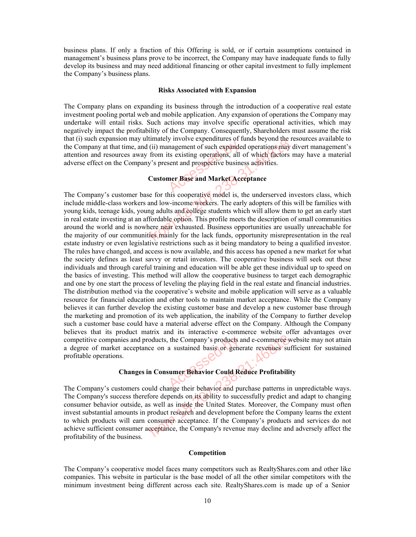business plans. If only a fraction of this Offering is sold, or if certain assumptions contained in management's business plans prove to be incorrect, the Company may have inadequate funds to fully develop its business and may need additional financing or other capital investment to fully implement the Company's business plans.

#### **Risks Associated with Expansion**

The Company plans on expanding its business through the introduction of a cooperative real estate investment pooling portal web and mobile application. Any expansion of operations the Company may undertake will entail risks. Such actions may involve specific operational activities, which may negatively impact the profitability of the Company. Consequently, Shareholders must assume the risk that (i) such expansion may ultimately involve expenditures of funds beyond the resources available to the Company at that time, and (ii) management of such expanded operations may divert management's attention and resources away from its existing operations, all of which factors may have a material adverse effect on the Company's present and prospective business activities. magement of such expandes<br>ts existing operations, all<br>sent and prospective busine

#### **Customer Base and Market Acceptance**

The Company's customer base for this cooperative model is, the underserved investors class, which include middle-class workers and low-income workers. The early adopters of this will be families with young kids, teenage kids, young adults and college students which will allow them to get an early start in real estate investing at an affordable option. This profile meets the description of small communities around the world and is nowhere near exhausted. Business opportunities are usually unreachable for the majority of our communities mainly for the lack funds, opportunity misrepresentation in the real estate industry or even legislative restrictions such as it being mandatory to being a qualified investor. The rules have changed, and access is now available, and this access has opened a new market for what the society defines as least savvy or retail investors. The cooperative business will seek out these individuals and through careful training and education will be able get these individual up to speed on the basics of investing. This method will allow the cooperative business to target each demographic and one by one start the process of leveling the playing field in the real estate and financial industries. The distribution method via the cooperative's website and mobile application will serve as a valuable resource for financial education and other tools to maintain market acceptance. While the Company believes it can further develop the existing customer base and develop a new customer base through the marketing and promotion of its web application, the inability of the Company to further develop such a customer base could have a material adverse effect on the Company. Although the Company believes that its product matrix and its interactive e-commerce website offer advantages over competitive companies and products, the Company's products and e-commerce website may not attain a degree of market acceptance on a sustained basis or generate revenues sufficient for sustained profitable operations. The mean extraction such as the interest of the section of the sections and (ii) management of such expanded operations may be saway from its existing operations, all of which factors Company's present and prospective busi the Company's products a<br>a sustained basis of general<br>sumer Behavior Could Re

#### **Changes in Consumer Behavior Could Reduce Profitability**

The Company's customers could change their behavior and purchase patterns in unpredictable ways. The Company's success therefore depends on its ability to successfully predict and adapt to changing consumer behavior outside, as well as inside the United States. Moreover, the Company must often invest substantial amounts in product research and development before the Company learns the extent to which products will earn consumer acceptance. If the Company's products and services do not achieve sufficient consumer acceptance, the Company's revenue may decline and adversely affect the profitability of the business. From 18.2020 and e-commerce variations and products, the Company's products and e-commerce variated exercises sure<br>acceptance on a sustained basis or generate revenues sure.<br> **hanges in Consumer Behavior Could Reduce Profi** 

#### **Competition**

The Company's cooperative model faces many competitors such as RealtyShares.com and other like companies. This website in particular is the base model of all the other similar competitors with the minimum investment being different across each site. RealtyShares.com is made up of a Senior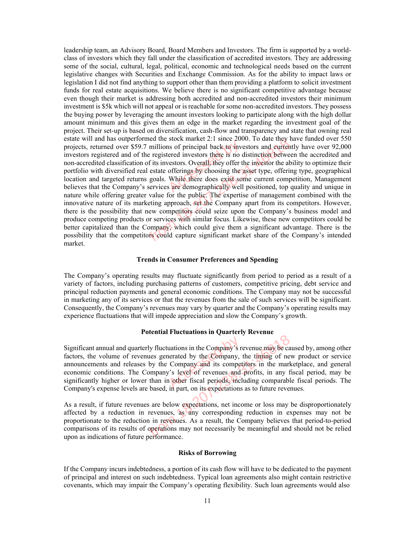leadership team, an Advisory Board, Board Members and Investors. The firm is supported by a worldclass of investors which they fall under the classification of accredited investors. They are addressing some of the social, cultural, legal, political, economic and technological needs based on the current legislative changes with Securities and Exchange Commission. As for the ability to impact laws or legislation I did not find anything to support other than them providing a platform to solicit investment funds for real estate acquisitions. We believe there is no significant competitive advantage because even though their market is addressing both accredited and non-accredited investors their minimum investment is \$5k which will not appeal or is reachable for some non-accredited investors. They possess the buying power by leveraging the amount investors looking to participate along with the high dollar amount minimum and this gives them an edge in the market regarding the investment goal of the project. Their set-up is based on diversification, cash-flow and transparency and state that owning real estate will and has outperformed the stock market 2:1 since 2000. To date they have funded over 550 projects, returned over \$59.7 millions of principal back to investors and currently have over 92,000 investors registered and of the registered investors there is no distinction between the accredited and non-accredited classification of its investors. Overall, they offer the investor the ability to optimize their portfolio with diversified real estate offerings by choosing the asset type, offering type, geographical location and targeted returns goals. While there does exist some current competition, Management believes that the Company's services are demographically well positioned, top quality and unique in nature while offering greater value for the public. The expertise of management combined with the innovative nature of its marketing approach, set the Company apart from its competitors. However, there is the possibility that new competitors could seize upon the Company's business model and produce competing products or services with similar focus. Likewise, these new competitors could be better capitalized than the Company, which could give them a significant advantage. There is the possibility that the competitors could capture significant market share of the Company's intended market. Solution is of principal back to inverse is no<br>ered investors there is no contract the series of the series of the offerings by choosing the while there does exist so<br>while there does exist so are demographically well the experiment and stock market 2:1 since 2000. To date they not<br>are \$59.7 millions of principal back to investors and current<br>md of the registered investors there is no distinction betwee<br>ication of its investors. Overall

#### **Trends in Consumer Preferences and Spending**

The Company's operating results may fluctuate significantly from period to period as a result of a variety of factors, including purchasing patterns of customers, competitive pricing, debt service and principal reduction payments and general economic conditions. The Company may not be successful in marketing any of its services or that the revenues from the sale of such services will be significant. Consequently, the Company's revenues may vary by quarter and the Company's operating results may experience fluctuations that will impede appreciation and slow the Company's growth.

#### **Potential Fluctuations in Quarterly Revenue**

Significant annual and quarterly fluctuations in the Company's revenue may be caused by, among other factors, the volume of revenues generated by the Company, the timing of new product or service announcements and releases by the Company and its competitors in the marketplace, and general economic conditions. The Company's level of revenues and profits, in any fiscal period, may be significantly higher or lower than in other fiscal periods, including comparable fiscal periods. The Company's expense levels are based, in part, on its expectations as to future revenues. uations in the Company's recented by the Company, if<br>
company and its compet<br>
v's level of revenues and<br>
in nort on its expectations From 18.2020 and the Company's revenue may be calculated to the Company's revenue may be calculated by the Company, the timing of necleases by the Company's level of revenues and profits, in any f The Company's level of re

As a result, if future revenues are below expectations, net income or loss may be disproportionately affected by a reduction in revenues, as any corresponding reduction in expenses may not be proportionate to the reduction in revenues. As a result, the Company believes that period-to-period comparisons of its results of operations may not necessarily be meaningful and should not be relied upon as indications of future performance.

#### **Risks of Borrowing**

If the Company incurs indebtedness, a portion of its cash flow will have to be dedicated to the payment of principal and interest on such indebtedness. Typical loan agreements also might contain restrictive covenants, which may impair the Company's operating flexibility. Such loan agreements would also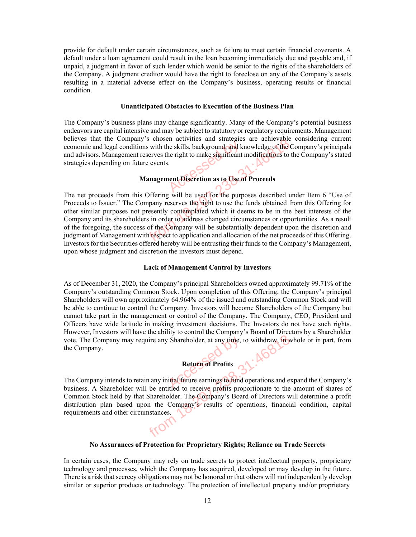provide for default under certain circumstances, such as failure to meet certain financial covenants. A default under a loan agreement could result in the loan becoming immediately due and payable and, if unpaid, a judgment in favor of such lender which would be senior to the rights of the shareholders of the Company. A judgment creditor would have the right to foreclose on any of the Company's assets resulting in a material adverse effect on the Company's business, operating results or financial condition.

#### **Unanticipated Obstacles to Execution of the Business Plan**

The Company's business plans may change significantly. Many of the Company's potential business endeavors are capital intensive and may be subject to statutory or regulatory requirements. Management believes that the Company's chosen activities and strategies are achievable considering current economic and legal conditions with the skills, background, and knowledge of the Company's principals and advisors. Management reserves the right to make significant modifications to the Company's stated strategies depending on future events. The skills, background, and k<br>he right to make significant<br>i.

#### **Management Discretion as to Use of Proceeds**

The net proceeds from this Offering will be used for the purposes described under Item 6 "Use of Proceeds to Issuer." The Company reserves the right to use the funds obtained from this Offering for other similar purposes not presently contemplated which it deems to be in the best interests of the Company and its shareholders in order to address changed circumstances or opportunities. As a result of the foregoing, the success of the Company will be substantially dependent upon the discretion and judgment of Management with respect to application and allocation of the net proceeds of this Offering. Investors for the Securities offered hereby will be entrusting their funds to the Company's Management, upon whose judgment and discretion the investors must depend. mpany s chosen activities and strategies are achievable<br>moditions with the skills, background, and knowledge of the C<br>ment reserves the right to make significant modifications to to<br>m future events.<br>**Management Discretion** 

#### **Lack of Management Control by Investors**

As of December 31, 2020, the Company's principal Shareholders owned approximately 99.71% of the Company's outstanding Common Stock. Upon completion of this Offering, the Company's principal Shareholders will own approximately 64.964% of the issued and outstanding Common Stock and will be able to continue to control the Company. Investors will become Shareholders of the Company but cannot take part in the management or control of the Company. The Company, CEO, President and Officers have wide latitude in making investment decisions. The Investors do not have such rights. However, Investors will have the ability to control the Company's Board of Directors by a Shareholder vote. The Company may require any Shareholder, at any time, to withdraw, in whole or in part, from the Company.

#### **Return of Profits**

The Company intends to retain any initial future earnings to fund operations and expand the Company's business. A Shareholder will be entitled to receive profits proportionate to the amount of shares of Common Stock held by that Shareholder. The Company's Board of Directors will determine a profit distribution plan based upon the Company's results of operations, financial condition, capital requirements and other circumstances. Return of Profits<br>
The Markonson Shareholder, at any time, to withdraw in the state of Profits<br>
to retain any initial future earnings to fund operations and e<br>
der will be entitled to receive profits proportionate to the<br>

#### **No Assurances of Protection for Proprietary Rights; Reliance on Trade Secrets**

In certain cases, the Company may rely on trade secrets to protect intellectual property, proprietary technology and processes, which the Company has acquired, developed or may develop in the future. There is a risk that secrecy obligations may not be honored or that others will not independently develop similar or superior products or technology. The protection of intellectual property and/or proprietary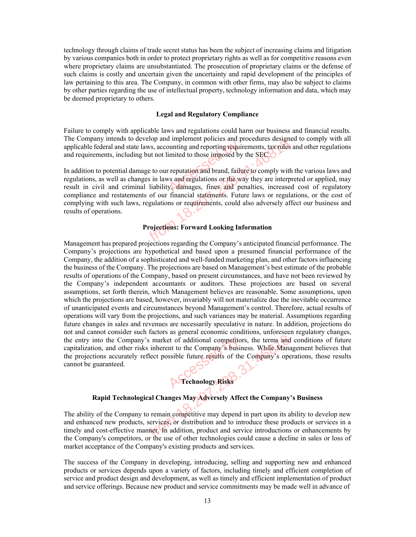technology through claims of trade secret status has been the subject of increasing claims and litigation by various companies both in order to protect proprietary rights as well as for competitive reasons even where proprietary claims are unsubstantiated. The prosecution of proprietary claims or the defense of such claims is costly and uncertain given the uncertainty and rapid development of the principles of law pertaining to this area. The Company, in common with other firms, may also be subject to claims by other parties regarding the use of intellectual property, technology information and data, which may be deemed proprietary to others.

#### **Legal and Regulatory Compliance**

Failure to comply with applicable laws and regulations could harm our business and financial results. The Company intends to develop and implement policies and procedures designed to comply with all applicable federal and state laws, accounting and reporting requirements, tax rules and other regulations and requirements, including but not limited to those imposed by the SEC.

In addition to potential damage to our reputation and brand, failure to comply with the various laws and regulations, as well as changes in laws and regulations or the way they are interpreted or applied, may result in civil and criminal liability, damages, fines and penalties, increased cost of regulatory compliance and restatements of our financial statements. Future laws or regulations, or the cost of complying with such laws, regulations or requirements, could also adversely affect our business and results of operations. unting and reporting required<br>imited to those imposed by<br>r reputation and brand, faily<br>ws and regulations or the way.<br>damages, fines and pe From 18.2020 and material procedures and procedures designed state laws, accounting and reporting requirements, taxtules luding but not limited to those imposed by the SEC.<br>
Il damage to our reputation and brand, failure t

#### **Projections: Forward Looking Information**

Management has prepared projections regarding the Company's anticipated financial performance. The Company's projections are hypothetical and based upon a presumed financial performance of the Company, the addition of a sophisticated and well-funded marketing plan, and other factors influencing the business of the Company. The projections are based on Management's best estimate of the probable results of operations of the Company, based on present circumstances, and have not been reviewed by the Company's independent accountants or auditors. These projections are based on several assumptions, set forth therein, which Management believes are reasonable. Some assumptions, upon which the projections are based, however, invariably will not materialize due the inevitable occurrence of unanticipated events and circumstances beyond Management's control. Therefore, actual results of operations will vary from the projections, and such variances may be material. Assumptions regarding future changes in sales and revenues are necessarily speculative in nature. In addition, projections do not and cannot consider such factors as general economic conditions, unforeseen regulatory changes, the entry into the Company's market of additional competitors, the terms and conditions of future capitalization, and other risks inherent to the Company's business. While Management believes that the projections accurately reflect possible future results of the Company's operations, those results cannot be guaranteed. et of additional competitor<br>
Int to the Company's busin<br>
ssible future results of the<br> **Technology Risks** 

#### **Rapid Technological Changes May Adversely Affect the Company's Business**

The ability of the Company to remain competitive may depend in part upon its ability to develop new and enhanced new products, services, or distribution and to introduce these products or services in a timely and cost-effective manner. In addition, product and service introductions or enhancements by the Company's competitors, or the use of other technologies could cause a decline in sales or loss of market acceptance of the Company's existing products and services. mpany's market of additional competitors, the terms and<br>her risks inherent to the Company's business. While Mana<br>ately reflect possible future results of the Company's operately<br>rechnology Risks<br>nological Changes May Adver

The success of the Company in developing, introducing, selling and supporting new and enhanced products or services depends upon a variety of factors, including timely and efficient completion of service and product design and development, as well as timely and efficient implementation of product and service offerings. Because new product and service commitments may be made well in advance of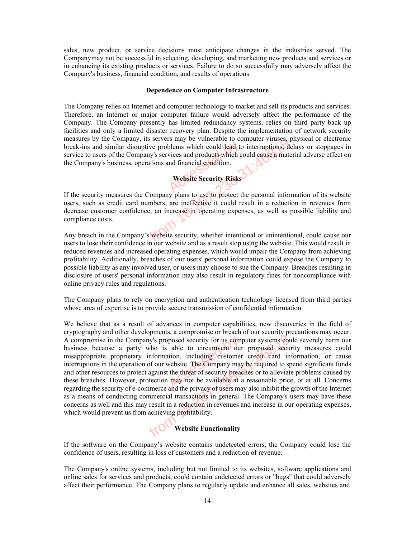sales, new product, or service decisions must anticipate changes in the industries served. The Company may not be successful in selecting, developing, and marketing new products and services or in enhancing its existing products or services. Failure to do so successfully may adversely affect the Company's business, financial condition, and results of operations.

#### **Dependence on Computer Infrastructure**

The Company relies on Internet and computer technology to market and sell its products and services. Therefore, an Internet or major computer failure would adversely affect the performance of the Company. The Company presently has limited redundancy systems, relies on third party back up facilities and only a limited disaster recovery plan. Despite the implementation of network security measures by the Company, its servers may be vulnerable to computer viruses, physical or electronic break-ins and similar disruptive problems which could lead to interruptions, delays or stoppages in service to users of the Company's services and products which could cause a material adverse effect on the Company's business, operations and financial condition. blems which could lead to<br>vices and products which could lead<br>and financial condition.

# **Website Security Risks**

If the security measures the Company plans to use to protect the personal information of its website users, such as credit card numbers, are ineffective it could result in a reduction in revenues from decrease customer confidence, an increase in operating expenses, as well as possible liability and compliance costs. From 18.2073. The servers may be vulnerable to computer viruses, p<br>disruptive problems which could lead to interruptions, de<br>Company's services and products which could cause a mate<br>ss, operations and financial condition.<br>

Any breach in the Company's website security, whether intentional or unintentional, could cause our users to lose their confidence in our website and as a result stop using the website. This would result in reduced revenues and increased operating expenses, which would impair the Company from achieving profitability. Additionally, breaches of our users' personal information could expose the Company to possible liability as any involved user, or users may choose to sue the Company. Breaches resulting in disclosure of users' personal information may also result in regulatory fines for noncompliance with online privacy rules and regulations.

The Company plans to rely on encryption and authentication technology licensed from third parties whose area of expertise is to provide secure transmission of confidential information.

We believe that as a result of advances in computer capabilities, new discoveries in the field of cryptography and other developments, a compromise or breach of our security precautions may occur. A compromise in the Company's proposed security for its computer systems could severely harm our business because a party who is able to circumvent our proposed security measures could misappropriate proprietary information, including customer credit card information, or cause interruptions in the operation of our website. The Company may be required to spend significant funds and other resources to protect against the threat of security breaches or to alleviate problems caused by A compromise in the Company's proposed security for its computer systems could severely harm our business because a party who is able to circumvent our proposed security measures could misappropriate proprietary informatio regarding the security of e-commerce and the privacy of users may also inhibit the growth of the Internet as a means of conducting commercial transactions in general. The Company's users may have these concerns as well and this may result in a reduction in revenues and increase in our operating expenses, which would prevent us from achieving profitability. Company's proposed security for its computer systems company's proposed security for its computer systems comparty who is able to circumvent our proposed securitetary information, including eustomer credit card in vertain

# **Website Functionality**

If the software on the Company's website contains undetected errors, the Company could lose the confidence of users, resulting in loss of customers and a reduction of revenue.

The Company's online systems, including but not limited to its websites, software applications and online sales for services and products, could contain undetected errors or "bugs" that could adversely affect their performance. The Company plans to regularly update and enhance all sales, websites and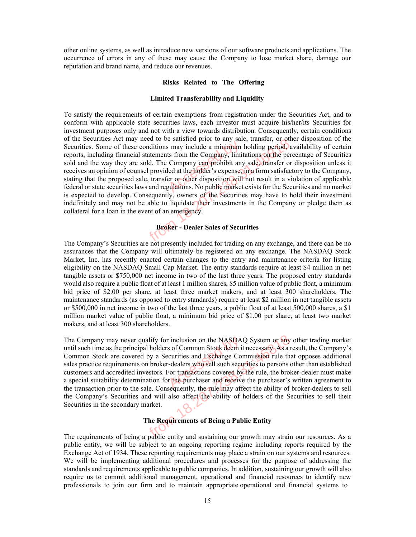other online systems, as well as introduce new versions of our software products and applications. The occurrence of errors in any of these may cause the Company to lose market share, damage our reputation and brand name, and reduce our revenues.

#### **Risks Related to The Offering**

#### **Limited Transferability and Liquidity**

To satisfy the requirements of certain exemptions from registration under the Securities Act, and to conform with applicable state securities laws, each investor must acquire his/her/its Securities for investment purposes only and not with a view towards distribution. Consequently, certain conditions of the Securities Act may need to be satisfied prior to any sale, transfer, or other disposition of the Securities. Some of these conditions may include a minimum holding period, availability of certain reports, including financial statements from the Company, limitations on the percentage of Securities sold and the way they are sold. The Company can prohibit any sale, transfer or disposition unless it receives an opinion of counsel provided at the holder's expense, in a form satisfactory to the Company, stating that the proposed sale, transfer or other disposition will not result in a violation of applicable federal or state securities laws and regulations. No public market exists for the Securities and no market is expected to develop. Consequently, owners of the Securities may have to hold their investment indefinitely and may not be able to liquidate their investments in the Company or pledge them as collateral for a loan in the event of an emergency. France is may include a minimum<br>ts from the Company, limit<br>Company can prohibit any<br>led at the holder's expense,<br>er or other disposition will may need to be satisfied prior to any sate, transfer, or our<br>hese conditions may include a minimum holding period, a<br>ancial statements from the Company, limitations on the per<br>y are sold. The Company can prohibit any sale,

#### **Broker - Dealer Sales of Securities**

The Company's Securities are not presently included for trading on any exchange, and there can be no assurances that the Company will ultimately be registered on any exchange. The NASDAQ Stock Market, Inc. has recently enacted certain changes to the entry and maintenance criteria for listing eligibility on the NASDAQ Small Cap Market. The entry standards require at least \$4 million in net tangible assets or \$750,000 net income in two of the last three years. The proposed entry standards would also require a public float of at least 1 million shares, \$5 million value of public float, a minimum bid price of \$2.00 per share, at least three market makers, and at least 300 shareholders. The maintenance standards (as opposed to entry standards) require at least \$2 million in net tangible assets or \$500,000 in net income in two of the last three years, a public float of at least 500,000 shares, a \$1 million market value of public float, a minimum bid price of \$1.00 per share, at least two market makers, and at least 300 shareholders.

The Company may never qualify for inclusion on the NASDAQ System or any other trading market until such time as the principal holders of Common Stock deem it necessary. As a result, the Company's Common Stock are covered by a Securities and Exchange Commission rule that opposes additional sales practice requirements on broker-dealers who sell such securities to persons other than established customers and accredited investors. For transactions covered by the rule, the broker-dealer must make The Company may never qualify for inclusion on the NASDAQ System or any other trading market<br>until such time as the principal holders of Common Stock deem it necessary. As a result, the Company's<br>Common Stock are covered b the transaction prior to the sale. Consequently, the rule may affect the ability of broker-dealers to sell the Company's Securities and will also affect the ability of holders of the Securities to sell their Securities in the secondary market. ever qualify for inclusion on the NASDAQ System or any<br>principal holders of Common Stock deem it necessary. As a i<br>overed by a Securities and Exchange Commission rule th<br>ments on broker-dealers who sell such securities to

#### **The Requirements of Being a Public Entity**

The requirements of being a public entity and sustaining our growth may strain our resources. As a public entity, we will be subject to an ongoing reporting regime including reports required by the Exchange Act of 1934. These reporting requirements may place a strain on our systems and resources. We will be implementing additional procedures and processes for the purpose of addressing the standards and requirements applicable to public companies. In addition, sustaining our growth will also require us to commit additional management, operational and financial resources to identify new professionals to join our firm and to maintain appropriate operational and financial systems to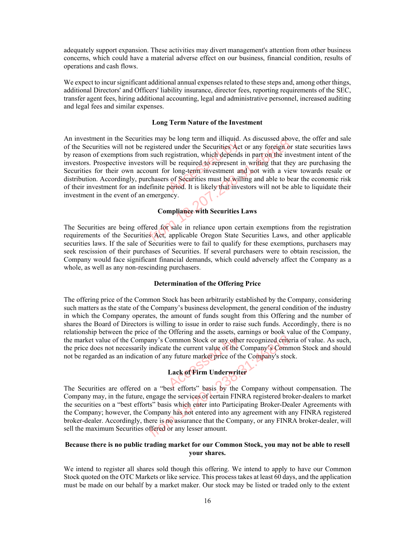adequately support expansion. These activities may divert management's attention from other business concerns, which could have a material adverse effect on our business, financial condition, results of operations and cash flows.

We expect to incur significant additional annual expenses related to these steps and, among other things, additional Directors' and Officers' liability insurance, director fees, reporting requirements of the SEC, transfer agent fees, hiring additional accounting, legal and administrative personnel, increased auditing and legal fees and similar expenses.

#### **Long Term Nature of the Investment**

An investment in the Securities may be long term and illiquid. As discussed above, the offer and sale of the Securities will not be registered under the Securities Act or any foreign or state securities laws by reason of exemptions from such registration, which depends in part on the investment intent of the investors. Prospective investors will be required to represent in writing that they are purchasing the Securities for their own account for long-term investment and not with a view towards resale or distribution. Accordingly, purchasers of Securities must be willing and able to bear the economic risk For the Securities will not be registered under the Securities Act or any foreign or state securities laws<br>by reason of exemptions from such registration, which depends in part on the investment intent of the<br>investors. Pr investment in the event of an emergency. Securities hay be long term and iniquid. As discussed about the registered under the Securities Act or any foreign or ons from such registration, which depends in part on the investors will be required to represent in writ

#### **Compliance with Securities Laws**

The Securities are being offered for sale in reliance upon certain exemptions from the registration requirements of the Securities Act, applicable Oregon State Securities Laws, and other applicable securities laws. If the sale of Securities were to fail to qualify for these exemptions, purchasers may seek rescission of their purchases of Securities. If several purchasers were to obtain rescission, the Company would face significant financial demands, which could adversely affect the Company as a whole, as well as any non-rescinding purchasers.

#### **Determination of the Offering Price**

The offering price of the Common Stock has been arbitrarily established by the Company, considering such matters as the state of the Company's business development, the general condition of the industry in which the Company operates, the amount of funds sought from this Offering and the number of shares the Board of Directors is willing to issue in order to raise such funds. Accordingly, there is no relationship between the price of the Offering and the assets, earnings or book value of the Company, the market value of the Company's Common Stock or any other recognized criteria of value. As such, the price does not necessarily indicate the current value of the Company's Common Stock and should not be regarded as an indication of any future market price of the Company's stock. Common Stock or any other<br>the current value of the C<br>y future market price of the<br>Lack of Firm Underwrite



The Securities are offered on a "best efforts" basis by the Company without compensation. The Company may, in the future, engage the services of certain FINRA registered broker-dealers to market the securities on a "best efforts" basis which enter into Participating Broker-Dealer Agreements with the Company; however, the Company has not entered into any agreement with any FINRA registered broker-dealer. Accordingly, there is no assurance that the Company, or any FINRA broker-dealer, will sell the maximum Securities offered or any lesser amount. From 18.2012. The company's Common Stock or any other recognized crite<br>
recognized crite<br>
ressarily indicate the current value of the Company's Common<br>
indication of any future market price of the Company's stock<br>
Lack of

#### **Because there is no public trading market for our Common Stock, you may not be able to resell your shares.**

We intend to register all shares sold though this offering. We intend to apply to have our Common Stock quoted on the OTC Markets or like service. This process takes at least 60 days, and the application must be made on our behalf by a market maker. Our stock may be listed or traded only to the extent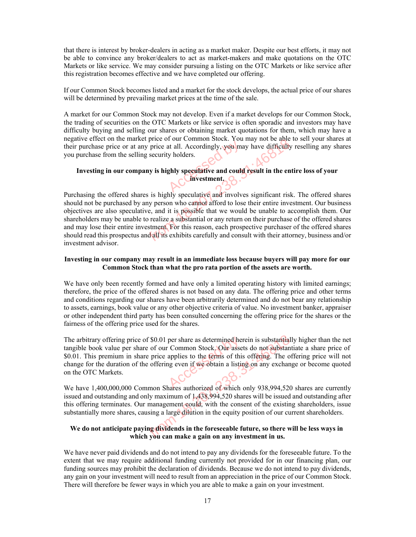that there is interest by broker-dealers in acting as a market maker. Despite our best efforts, it may not be able to convince any broker/dealers to act as market-makers and make quotations on the OTC Markets or like service. We may consider pursuing a listing on the OTC Markets or like service after this registration becomes effective and we have completed our offering.

If our Common Stock becomes listed and a market for the stock develops, the actual price of our shares will be determined by prevailing market prices at the time of the sale.

A market for our Common Stock may not develop. Even if a market develops for our Common Stock, the trading of securities on the OTC Markets or like service is often sporadic and investors may have difficulty buying and selling our shares or obtaining market quotations for them, which may have a negative effect on the market price of our Common Stock. You may not be able to sell your shares at their purchase price or at any price at all. Accordingly, you may have difficulty reselling any shares you purchase from the selling security holders. at all. Accordingly, you may holders.

#### **Investing in our company is highly speculative and could result in the entire loss of your investment.**

Purchasing the offered shares is highly speculative and involves significant risk. The offered shares should not be purchased by any person who cannot afford to lose their entire investment. Our business objectives are also speculative, and it is possible that we would be unable to accomplish them. Our shareholders may be unable to realize a substantial or any return on their purchase of the offered shares and may lose their entire investment. For this reason, each prospective purchaser of the offered shares should read this prospectus and all its exhibits carefully and consult with their attorney, business and/or investment advisor. From any price at all. Accordingly, you may have difficulty<br>e selling security holders.<br> **Company is highly speculative and could result in the ent**<br>
d shares is highly speculative and involves significant risk<br>
d shares i

#### **Investing in our company may result in an immediate loss because buyers will pay more for our Common Stock than what the pro rata portion of the assets are worth.**

We have only been recently formed and have only a limited operating history with limited earnings; therefore, the price of the offered shares is not based on any data. The offering price and other terms and conditions regarding our shares have been arbitrarily determined and do not bear any relationship to assets, earnings, book value or any other objective criteria of value. No investment banker, appraiser or other independent third party has been consulted concerning the offering price for the shares or the fairness of the offering price used for the shares.

The arbitrary offering price of \$0.01 per share as determined herein is substantially higher than the net tangible book value per share of our Common Stock. Our assets do not substantiate a share price of \$0.01. This premium in share price applies to the terms of this offering. The offering price will not change for the duration of the offering even if we obtain a listing on any exchange or become quoted on the OTC Markets. per share as determined her<br>
Common Stock, Our asset<br>
applies to the terms of this<br>
ng even if we obtain a listing<br>
and the obtain a listing<br>
contract of which price of \$0.01 per share as determined herein is substantial<br>eer share of our Common Stock. Our assets do not substantial<br>in share price applies to the **terms** of this offering. The o<br>on of the offering even if we obtain a

We have 1,400,000,000 Common Shares authorized of which only 938,994,520 shares are currently issued and outstanding and only maximum of 1,438,994,520 shares will be issued and outstanding after this offering terminates. Our management could, with the consent of the existing shareholders, issue substantially more shares, causing a large dilution in the equity position of our current shareholders.

#### **We do not anticipate paying dividends in the foreseeable future, so there will be less ways in which you can make a gain on any investment in us.**

We have never paid dividends and do not intend to pay any dividends for the foreseeable future. To the extent that we may require additional funding currently not provided for in our financing plan, our funding sources may prohibit the declaration of dividends. Because we do not intend to pay dividends, any gain on your investment will need to result from an appreciation in the price of our Common Stock. There will therefore be fewer ways in which you are able to make a gain on your investment.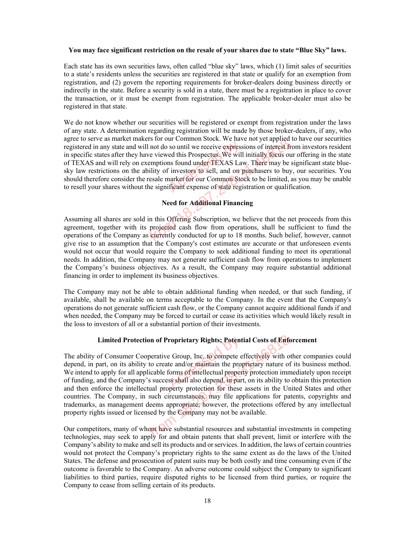#### **You may face significant restriction on the resale of your shares due to state "Blue Sky" laws.**

Each state has its own securities laws, often called "blue sky" laws, which (1) limit sales of securities to a state's residents unless the securities are registered in that state or qualify for an exemption from registration, and (2) govern the reporting requirements for broker-dealers doing business directly or indirectly in the state. Before a security is sold in a state, there must be a registration in place to cover the transaction, or it must be exempt from registration. The applicable broker-dealer must also be registered in that state.

We do not know whether our securities will be registered or exempt from registration under the laws of any state. A determination regarding registration will be made by those broker-dealers, if any, who agree to serve as market makers for our Common Stock. We have not yet applied to have our securities registered in any state and will not do so until we receive expressions of interest from investors resident in specific states after they have viewed this Prospectus. We will initially focus our offering in the state of TEXAS and will rely on exemptions found under TEXAS Law. There may be significant state bluesky law restrictions on the ability of investors to sell, and on purchasers to buy, our securities. You should therefore consider the resale market for our Common Stock to be limited, as you may be unable registered in any state and will not do so until we receive expressions of interest from inve<br>in specific states after they have viewed this Prospectus. We will initially focus our offerir<br>of TEXAS and will rely on exempti From 18.2020 and will not do so until we receive expressions of interest from the shall not do so until we receive expressions of interest from the solution of the may be solution of the ability of investors to sell, and o

#### **Need for Additional Financing**

Assuming all shares are sold in this Offering Subscription, we believe that the net proceeds from this agreement, together with its projected cash flow from operations, shall be sufficient to fund the operations of the Company as currently conducted for up to 18 months. Such belief, however, cannot give rise to an assumption that the Company's cost estimates are accurate or that unforeseen events would not occur that would require the Company to seek additional funding to meet its operational needs. In addition, the Company may not generate sufficient cash flow from operations to implement the Company's business objectives. As a result, the Company may require substantial additional financing in order to implement its business objectives.

The Company may not be able to obtain additional funding when needed, or that such funding, if available, shall be available on terms acceptable to the Company. In the event that the Company's operations do not generate sufficient cash flow, or the Company cannot acquire additional funds if and when needed, the Company may be forced to curtail or cease its activities which would likely result in the loss to investors of all or a substantial portion of their investments.

#### **Limited Protection of Proprietary Rights; Potential Costs of Enforcement**

The ability of Consumer Cooperative Group, Inc. to compete effectively with other companies could depend, in part, on its ability to create and/or maintain the proprietary nature of its business method. We intend to apply for all applicable forms of intellectual property protection immediately upon receipt of funding, and the Company's success shall also depend, in part, on its ability to obtain this protection and then enforce the intellectual property protection for these assets in the United States and other countries. The Company, in such circumstances, may file applications for patents, copyrights and trademarks, as management deems appropriate; however, the protections offered by any intellectual property rights issued or licensed by the Company may not be available. roprietary Rights; Potent<br>
e Group, Inc. to compete e<br>
te and/or maintain the prop<br>
forms of intellectual proper<br>
ss shall also depend, in par Protection of Proprietary Rights; Potential Costs of Enforcing the Trooperative Group, Inc. to compete effectively with os ability to create and/or maintain the proprietary nature of all applicable forms of intellectual pr

Our competitors, many of whom have substantial resources and substantial investments in competing technologies, may seek to apply for and obtain patents that shall prevent, limit or interfere with the Company's ability to make and sell its products and or services. In addition, the laws of certain countries would not protect the Company's proprietary rights to the same extent as do the laws of the United States. The defense and prosecution of patent suits may be both costly and time consuming even if the outcome is favorable to the Company. An adverse outcome could subject the Company to significant liabilities to third parties, require disputed rights to be licensed from third parties, or require the Company to cease from selling certain of its products.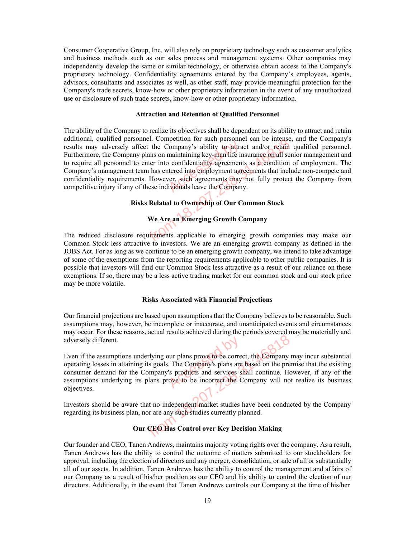Consumer Cooperative Group, Inc. will also rely on proprietary technology such as customer analytics and business methods such as our sales process and management systems. Other companies may independently develop the same or similar technology, or otherwise obtain access to the Company's proprietary technology. Confidentiality agreements entered by the Company's employees, agents, advisors, consultants and associates as well, as other staff, may provide meaningful protection for the Company's trade secrets, know-how or other proprietary information in the event of any unauthorized use or disclosure of such trade secrets, know-how or other proprietary information.

#### **Attraction and Retention of Qualified Personnel**

The ability of the Company to realize its objectives shall be dependent on its ability to attract and retain additional, qualified personnel. Competition for such personnel can be intense, and the Company's results may adversely affect the Company's ability to attract and/or retain qualified personnel. Furthermore, the Company plans on maintaining key-man life insurance on all senior management and to require all personnel to enter into confidentiality agreements as a condition of employment. The Company's management team has entered into employment agreements that include non-compete and confidentiality requirements. However, such agreements may not fully protect the Company from competitive injury if any of these individuals leave the Company. Franch Transformed Company's ability to attra<br>
maintaining key-man life in<br>
the confidentiality agreement<br>
tered into employment agreements<br>
ver, such agreements may<br>
ividuals leave the Compan personnel. Competition for such personnel can be intense,<br>y affect the Company's ability to attract and/or retain<br>pany plans on maintaining key-man life insurance on all ser<br>el to enter into confidentiality agreements as a

#### **Risks Related to Ownership of Our Common Stock**

#### **We Are an Emerging Growth Company**

The reduced disclosure requirements applicable to emerging growth companies may make our Common Stock less attractive to investors. We are an emerging growth company as defined in the JOBS Act. For as long as we continue to be an emerging growth company, we intend to take advantage of some of the exemptions from the reporting requirements applicable to other public companies. It is possible that investors will find our Common Stock less attractive as a result of our reliance on these exemptions. If so, there may be a less active trading market for our common stock and our stock price may be more volatile.

#### **Risks Associated with Financial Projections**

Our financial projections are based upon assumptions that the Company believes to be reasonable. Such assumptions may, however, be incomplete or inaccurate, and unanticipated events and circumstances may occur. For these reasons, actual results achieved during the periods covered may be materially and adversely different.

Even if the assumptions underlying our plans prove to be correct, the Company may incur substantial operating losses in attaining its goals. The Company's plans are based on the premise that the existing consumer demand for the Company's products and services shall continue. However, if any of the assumptions underlying its plans prove to be incorrect the Company will not realize its business objectives. bur plans prove to be corrected.<br>The Company's plans are<br>'s products and services showe to be incorrect the C From 18.2020 pairs and provide to correct, the Company<br>aining its goals. The Company's plans are based on the pre<br>r the Company's products and services shall continue. Hong its plans prove to be incorrect the Company will

Investors should be aware that no independent market studies have been conducted by the Company regarding its business plan, nor are any such studies currently planned.

#### **Our CEO Has Control over Key Decision Making**

Our founder and CEO, Tanen Andrews, maintains majority voting rights over the company. As a result, Tanen Andrews has the ability to control the outcome of matters submitted to our stockholders for approval, including the election of directors and any merger, consolidation, or sale of all or substantially all of our assets. In addition, Tanen Andrews has the ability to control the management and affairs of our Company as a result of his/her position as our CEO and his ability to control the election of our directors. Additionally, in the event that Tanen Andrews controls our Company at the time of his/her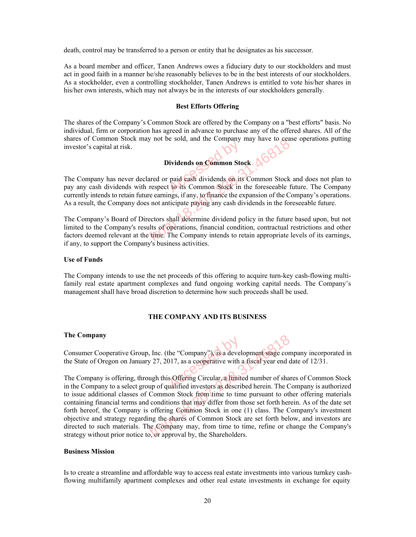death, control may be transferred to a person or entity that he designates as his successor.

As a board member and officer, Tanen Andrews owes a fiduciary duty to our stockholders and must act in good faith in a manner he/she reasonably believes to be in the best interests of our stockholders. As a stockholder, even a controlling stockholder, Tanen Andrews is entitled to vote his/her shares in his/her own interests, which may not always be in the interests of our stockholders generally.

#### **Best Efforts Offering**

The shares of the Company's Common Stock are offered by the Company on a "best efforts" basis. No individual, firm or corporation has agreed in advance to purchase any of the offered shares. All of the shares of Common Stock may not be sold, and the Company may have to cease operations putting investor's capital at risk.

#### **Dividends on Common Stock**

The Company has never declared or paid cash dividends on its Common Stock and does not plan to pay any cash dividends with respect to its Common Stock in the foreseeable future. The Company currently intends to retain future earnings, if any, to finance the expansion of the Company's operations. As a result, the Company does not anticipate paying any cash dividends in the foreseeable future. Principles of Common Stock<br>
paid cash dividends on its<br>
to its Common Stock in From 18.2013. The Company interest of the Company is a set of the Universe of the Universe Sections.<br>This is the common Stock of the foresceaple from 18.2013. The spectral or paid cash dividends on its Common Stock ds with

The Company's Board of Directors shall determine dividend policy in the future based upon, but not limited to the Company's results of operations, financial condition, contractual restrictions and other factors deemed relevant at the time. The Company intends to retain appropriate levels of its earnings, if any, to support the Company's business activities.

#### **Use of Funds**

The Company intends to use the net proceeds of this offering to acquire turn-key cash-flowing multifamily real estate apartment complexes and fund ongoing working capital needs. The Company's management shall have broad discretion to determine how such proceeds shall be used.

#### **THE COMPANY AND ITS BUSINESS**

#### **The Company**

Consumer Cooperative Group, Inc. (the "Company"), is a development stage company incorporated in the State of Oregon on January 27, 2017, as a cooperative with a fiscal year end date of 12/31. the "Company"), is a develour of the "Company"), is a develoption of the set of the set of the set of the set of the set of the set of the set of the set of the set of the set of the set of the set of the set of the set of

The Company is offering, through this Offering Circular, a limited number of shares of Common Stock in the Company to a select group of qualified investors as described herein. The Company is authorized to issue additional classes of Common Stock from time to time pursuant to other offering materials containing financial terms and conditions that may differ from those set forth herein. As of the date set forth hereof, the Company is offering Common Stock in one (1) class. The Company's investment objective and strategy regarding the shares of Common Stock are set forth below, and investors are directed to such materials. The Company may, from time to time, refine or change the Company's strategy without prior notice to, or approval by, the Shareholders. From 18.2017, as a cooperative with a fiscal year end of nJanuary 27, 2017, as a cooperative with a fiscal year end of this Offering Circular, a limited number of shale elect group of qualified investors as described herei

#### **Business Mission**

Is to create a streamline and affordable way to access real estate investments into various turnkey cashflowing multifamily apartment complexes and other real estate investments in exchange for equity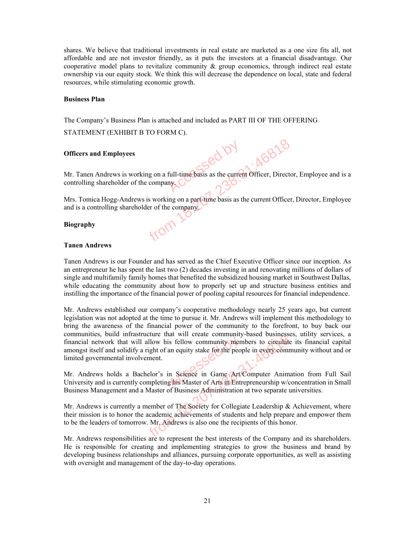shares. We believe that traditional investments in real estate are marketed as a one size fits all, not affordable and are not investor friendly, as it puts the investors at a financial disadvantage. Our cooperative model plans to revitalize community  $\&$  group economics, through indirect real estate ownership via our equity stock. We think this will decrease the dependence on local, state and federal resources, while stimulating economic growth.

#### **Business Plan**

The Company's Business Plan is attached and included as PART III OF THE OFFERING

STATEMENT (EXHIBIT B TO FORM C).

#### **Officers and Employees**

Mr. Tanen Andrews is working on a full-time basis as the current Officer, Director, Employee and is a controlling shareholder of the company. full-time basis as the current From 18.28.238.31:468.31<br>
Survey is working on a part time basis as the current Officer, Director<br>
Indrews is working on a part time basis as the current Officer<br>
Survey of the company.

Mrs. Tomica Hogg-Andrews is working on a part-time basis as the current Officer, Director, Employee and is a controlling shareholder of the company.

#### **Biography**

#### **Tanen Andrews**

Tanen Andrews is our Founder and has served as the Chief Executive Officer since our inception. As an entrepreneur he has spent the last two (2) decades investing in and renovating millions of dollars of single and multifamily family homes that benefited the subsidized housing market in Southwest Dallas, while educating the community about how to properly set up and structure business entities and instilling the importance of the financial power of pooling capital resources for financial independence.

Mr. Andrews established our company's cooperative methodology nearly 25 years ago, but current legislation was not adopted at the time to pursue it. Mr. Andrews will implement this methodology to bring the awareness of the financial power of the community to the forefront, to buy back our communities, build infrastructure that will create community-based businesses, utility services, a financial network that will allow his fellow community members to circulate its financial capital amongst itself and solidify a right of an equity stake for the people in every community without and or limited governmental involvement. is fellow community mem<br>an equity stake for the peop<br>in Seience in Game Art/ massuature that win create community-based businesses<br>to the will allow his fellow community members to circulate<br>idify a right of an equity stake for the people in every comm<br>involvement.<br>a Bachelor's in Seience in Game A

Mr. Andrews holds a Bachelor's in Science in Game Art/Computer Animation from Full Sail University and is currently completing his Master of Arts in Entrepreneurship w/concentration in Small Business Management and a Master of Business Administration at two separate universities.

Mr. Andrews is currently a member of The Society for Collegiate Leadership & Achievement, where their mission is to honor the academic achievements of students and help prepare and empower them to be the leaders of tomorrow. Mr. Andrews is also one the recipients of this honor.

Mr. Andrews responsibilities are to represent the best interests of the Company and its shareholders. He is responsible for creating and implementing strategies to grow the business and brand by developing business relationships and alliances, pursuing corporate opportunities, as well as assisting with oversight and management of the day-to-day operations.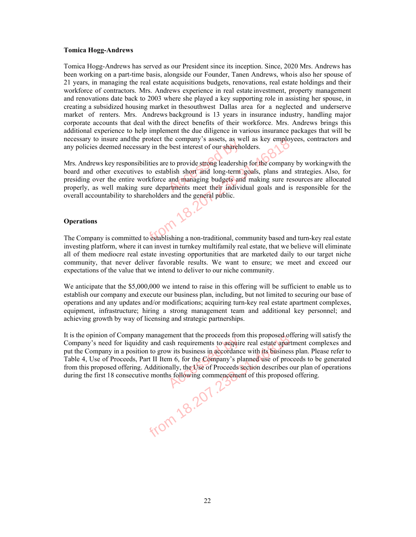#### **Tomica Hogg-Andrews**

Tomica Hogg-Andrews has served as our President since its inception. Since, 2020 Mrs. Andrews has been working on a part-time basis, alongside our Founder, Tanen Andrews, who is also her spouse of 21 years, in managing the real estate acquisitions budgets, renovations, real estate holdings and their workforce of contractors. Mrs. Andrews experience in real estate investment, property management and renovations date back to 2003 where she played a key supporting role in assisting her spouse, in creating a subsidized housing market in the southwest Dallas area for a neglected and underserve market of renters. Mrs. Andrews background is 13 years in insurance industry, handling major corporate accounts that deal with the direct benefits of their workforce. Mrs. Andrews brings this additional experience to help implement the due diligence in various insurance packages that will be necessary to insure and the protect the company's assets, as well as key employees, contractors and any policies deemed necessary in the best interest of our shareholders.

Mrs. Andrews key responsibilities are to provide strong leadership for the company by working with the board and other executives to establish short and long-term goals, plans and strategies. Also, for presiding over the entire workforce and managing budgets and making sure resources are allocated properly, as well making sure departments meet their individual goals and is responsible for the overall accountability to shareholders and the general public. best interest of our sharehofter<br>to provide strong leadership<br>blish short and long-term<br>and managing budgets and mathe protect the company s assets, as well as key employ<br>necessary in the best interest of our shareholders.<br>ponsibilities are to provide strong leadership for the company<br>cutives to establish short and long-term goals, p

#### **Operations**

The Company is committed to establishing a non-traditional, community based and turn-key real estate investing platform, where it can invest in turnkey multifamily real estate, that we believe will eliminate all of them mediocre real estate investing opportunities that are marketed daily to our target niche community, that never deliver favorable results. We want to ensure; we meet and exceed our expectations of the value that we intend to deliver to our niche community.

We anticipate that the \$5,000,000 we intend to raise in this offering will be sufficient to enable us to establish our company and execute our business plan, including, but not limited to securing our base of operations and any updates and/or modifications; acquiring turn-key real estate apartment complexes, equipment, infrastructure; hiring a strong management team and additional key personnel; and achieving growth by way of licensing and strategic partnerships.

It is the opinion of Company management that the proceeds from this proposed offering will satisfy the Company's need for liquidity and cash requirements to acquire real estate apartment complexes and put the Company in a position to grow its business in accordance with its business plan. Please refer to Table 4, Use of Proceeds, Part II Item 6, for the Company's planned use of proceeds to be generated from this proposed offering. Additionally, the Use of Proceeds section describes our plan of operations during the first 18 consecutive months following commencement of this proposed offering. mpany management that the proceeds from this proposed of<br>liquidity and cash requirements to acquire real estate apar<br>position to grow its business in accordance with its busines<br>eeds, Part II Item 6, for the *Company's* pl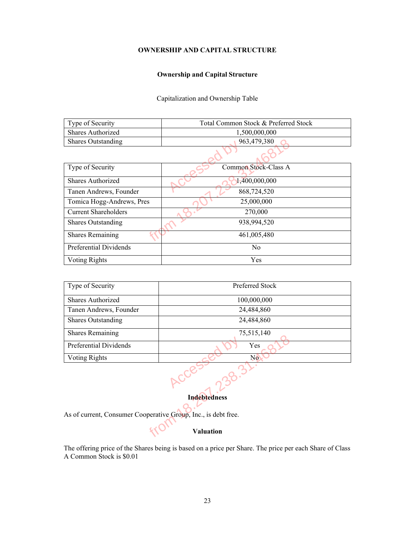#### **OWNERSHIP AND CAPITAL STRUCTURE**

#### **Ownership and Capital Structure**

Capitalization and Ownership Table

| Type of Security          | Total Common Stock & Preferred Stock |  |  |  |
|---------------------------|--------------------------------------|--|--|--|
| Shares Authorized         | 1,500,000,000                        |  |  |  |
| <b>Shares Outstanding</b> | 963,479,380                          |  |  |  |
|                           |                                      |  |  |  |

| <b>Shares Outstanding</b>   | 963,479,380          |  |  |  |  |  |
|-----------------------------|----------------------|--|--|--|--|--|
|                             |                      |  |  |  |  |  |
| Type of Security            | Common Stock-Class A |  |  |  |  |  |
| Shares Authorized           | 1,400,000,000        |  |  |  |  |  |
| Tanen Andrews, Founder      | 868,724,520          |  |  |  |  |  |
| Tomica Hogg-Andrews, Pres   | 25,000,000           |  |  |  |  |  |
| <b>Current Shareholders</b> | 270,000              |  |  |  |  |  |
| <b>Shares Outstanding</b>   | 938,994,520          |  |  |  |  |  |
| <b>Shares Remaining</b>     | 461,005,480          |  |  |  |  |  |
| Preferential Dividends      | No                   |  |  |  |  |  |
| <b>Voting Rights</b>        | Yes                  |  |  |  |  |  |

| Type of Security                                               | Preferred Stock                                                                                         |  |  |  |  |
|----------------------------------------------------------------|---------------------------------------------------------------------------------------------------------|--|--|--|--|
| Shares Authorized                                              | 100,000,000                                                                                             |  |  |  |  |
| Tanen Andrews, Founder                                         | 24,484,860                                                                                              |  |  |  |  |
| <b>Shares Outstanding</b>                                      | 24,484,860                                                                                              |  |  |  |  |
| <b>Shares Remaining</b>                                        | 75,515,140                                                                                              |  |  |  |  |
| Preferential Dividends                                         | Yes                                                                                                     |  |  |  |  |
| Voting Rights                                                  | N <sub>o</sub>                                                                                          |  |  |  |  |
|                                                                | <b>Indebtedness</b>                                                                                     |  |  |  |  |
|                                                                |                                                                                                         |  |  |  |  |
| As of current, Consumer Cooperative Group, Inc., is debt free. |                                                                                                         |  |  |  |  |
|                                                                | <b>Valuation</b>                                                                                        |  |  |  |  |
| A Common Stock is \$0.01                                       | The offering price of the Shares being is based on a price per Share. The price per each Share of Class |  |  |  |  |

#### **Indebtedness**

### **Valuation**

The offering price of the Shares being is based on a price per Share. The price per each Share of Class A Common Stock is \$0.01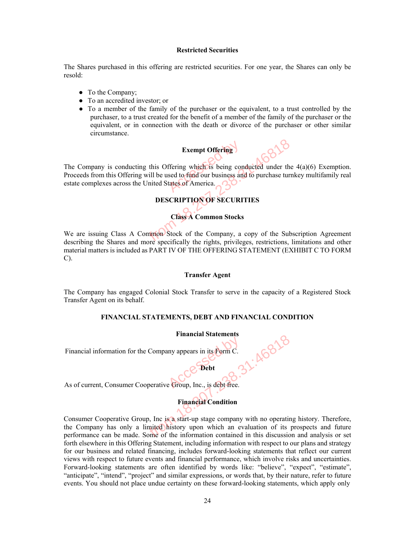#### **Restricted Securities**

The Shares purchased in this offering are restricted securities. For one year, the Shares can only be resold:

- To the Company;
- To an accredited investor; or
- To a member of the family of the purchaser or the equivalent, to a trust controlled by the purchaser, to a trust created for the benefit of a member of the family of the purchaser or the equivalent, or in connection with the death or divorce of the purchaser or other similar circumstance.

## **Exempt Offering**

The Company is conducting this Offering which is being conducted under the  $4(a)(6)$  Exemption. Proceeds from this Offering will be used to fund our business and to purchase turnkey multifamily real estate complexes across the United States of America. Exempt Offering

#### **DESCRIPTION OF SECURITIES**

#### **Class A Common Stocks**

We are issuing Class A Common Stock of the Company, a copy of the Subscription Agreement describing the Shares and more specifically the rights, privileges, restrictions, limitations and other material matters is included as PART IV OF THE OFFERING STATEMENT (EXHIBIT C TO FORM C). Exempt Offering<br>
ducting this Offering which is being conducted under the<br>
fering will be used to fund our business and to purchase turn<br>
states of America.<br>
DESCRIPTION OF SECURITIES<br>
Class A Common Stocks<br>
SA Common Stoc

#### **Transfer Agent**

The Company has engaged Colonial Stock Transfer to serve in the capacity of a Registered Stock Transfer Agent on its behalf.

#### **FINANCIAL STATEMENTS, DEBT AND FINANCIAL CONDITION**

#### **Financial Statements**

**Debt** 

Financial information for the Company appears in its Form C.

# As of current, Consumer Cooperative Group, Inc., is debt free. Accession in its Form C.

# **Financial Condition**

Consumer Cooperative Group, Inc is a start-up stage company with no operating history. Therefore, the Company has only a limited history upon which an evaluation of its prospects and future performance can be made. Some of the information contained in this discussion and analysis or set forth elsewhere in this Offering Statement, including information with respect to our plans and strategy for our business and related financing, includes forward-looking statements that reflect our current views with respect to future events and financial performance, which involve risks and uncertainties. Forward-looking statements are often identified by words like: "believe", "expect", "estimate", "anticipate", "intend", "project" and similar expressions, or words that, by their nature, refer to future events. You should not place undue certainty on these forward-looking statements, which apply only Financial Statements<br>
If or the Company appears in its Form C.<br>
The Cooperative Group, Inc., is debt free.<br>
Financial Condition<br>
Perfect of the information<br>
Inv a limited history upon which an evaluation of its<br>
made. Some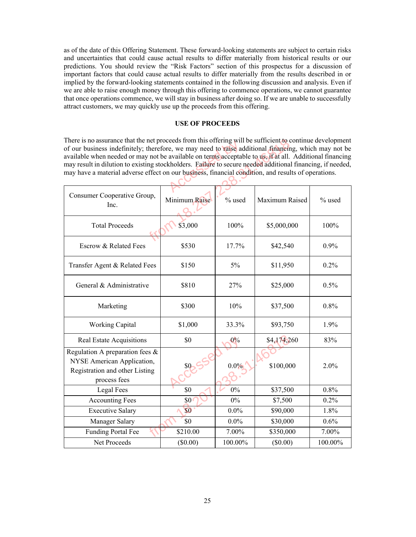as of the date of this Offering Statement. These forward-looking statements are subject to certain risks and uncertainties that could cause actual results to differ materially from historical results or our predictions. You should review the "Risk Factors" section of this prospectus for a discussion of important factors that could cause actual results to differ materially from the results described in or implied by the forward-looking statements contained in the following discussion and analysis. Even if we are able to raise enough money through this offering to commence operations, we cannot guarantee that once operations commence, we will stay in business after doing so. If we are unable to successfully attract customers, we may quickly use up the proceeds from this offering.

#### **USE OF PROCEEDS**

| There is no assurance that the net proceeds from this offering will be sufficient to continue development<br>of our business indefinitely; therefore, we may need to raise additional financing, which may not be<br>available when needed or may not be available on terms acceptable to us, if at all. Additional financing<br>may result in dilution to existing stockholders. Failure to secure needed additional financing, if needed, |               |         |                |         |
|---------------------------------------------------------------------------------------------------------------------------------------------------------------------------------------------------------------------------------------------------------------------------------------------------------------------------------------------------------------------------------------------------------------------------------------------|---------------|---------|----------------|---------|
| may have a material adverse effect on our business, financial condition, and results of operations.                                                                                                                                                                                                                                                                                                                                         |               |         |                |         |
|                                                                                                                                                                                                                                                                                                                                                                                                                                             |               |         |                |         |
| Consumer Cooperative Group,<br>Inc.                                                                                                                                                                                                                                                                                                                                                                                                         | Minimum Raise | % used  | Maximum Raised | % used  |
| <b>Total Proceeds</b>                                                                                                                                                                                                                                                                                                                                                                                                                       | \$3,000       | 100%    | \$5,000,000    | 100%    |
| Escrow & Related Fees                                                                                                                                                                                                                                                                                                                                                                                                                       | \$530         | 17.7%   | \$42,540       | 0.9%    |
| Transfer Agent & Related Fees                                                                                                                                                                                                                                                                                                                                                                                                               | \$150         | 5%      | \$11,950       | 0.2%    |
| General & Administrative                                                                                                                                                                                                                                                                                                                                                                                                                    | \$810         | 27%     | \$25,000       | 0.5%    |
| Marketing                                                                                                                                                                                                                                                                                                                                                                                                                                   | \$300         | 10%     | \$37,500       | 0.8%    |
| <b>Working Capital</b>                                                                                                                                                                                                                                                                                                                                                                                                                      | \$1,000       | 33.3%   | \$93,750       | 1.9%    |
| <b>Real Estate Acquisitions</b>                                                                                                                                                                                                                                                                                                                                                                                                             | \$0           | $0\%$   | \$4,174,260    | 83%     |
| Regulation A preparation fees &<br>NYSE American Application,<br>Registration and other Listing<br>process fees                                                                                                                                                                                                                                                                                                                             | \$0           | $0.0\%$ | \$100,000      | 2.0%    |
| Legal Fees                                                                                                                                                                                                                                                                                                                                                                                                                                  | \$0           | $0\%$   | \$37,500       | 0.8%    |
| <b>Accounting Fees</b>                                                                                                                                                                                                                                                                                                                                                                                                                      | \$0           | $0\%$   | \$7,500        | 0.2%    |
| <b>Executive Salary</b>                                                                                                                                                                                                                                                                                                                                                                                                                     | \$0           | $0.0\%$ | \$90,000       | 1.8%    |
| Manager Salary                                                                                                                                                                                                                                                                                                                                                                                                                              | \$0           | $0.0\%$ | \$30,000       | 0.6%    |
| <b>Funding Portal Fee</b>                                                                                                                                                                                                                                                                                                                                                                                                                   | \$210.00      | 7.00%   | \$350,000      | 7.00%   |
| Net Proceeds                                                                                                                                                                                                                                                                                                                                                                                                                                | $(\$0.00)$    | 100.00% | $(\$0.00)$     | 100.00% |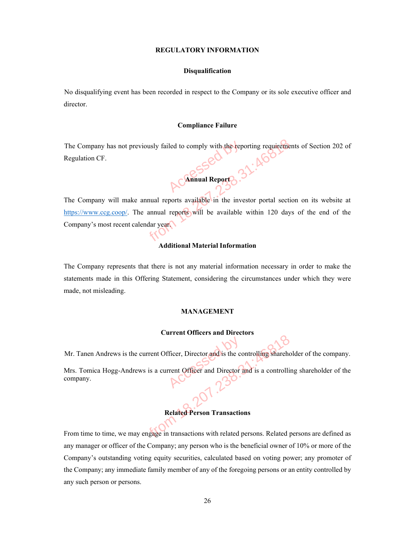#### **REGULATORY INFORMATION**

#### **Disqualification**

No disqualifying event has been recorded in respect to the Company or its sole executive officer and director.

#### **Compliance Failure**

The Company has not previously failed to comply with the reporting requirements of Section 202 of Regulation CF.



The Company will make annual reports available in the investor portal section on its website at https://www.ccg.coop/. The annual reports will be available within 120 days of the end of the Company's most recent calendar year. Accessed by failed to comply with the reporting requirement<br>
Accessed by the reports of the contract of the section<br>
of the section of the investor portal section<br>
of the annual reports will be available within 120 days<br>
o

#### **Additional Material Information**

The Company represents that there is not any material information necessary in order to make the statements made in this Offering Statement, considering the circumstances under which they were made, not misleading.

#### **MANAGEMENT**

#### **Current Officers and Directors**

Mr. Tanen Andrews is the current Officer, Director and is the controlling shareholder of the company.

Mrs. Tomica Hogg-Andrews is a current Officer and Director and is a controlling shareholder of the company. Ficer, Director and is the corrent Officer and Director?

#### **Related Person Transactions**

From time to time, we may engage in transactions with related persons. Related persons are defined as any manager or officer of the Company; any person who is the beneficial owner of 10% or more of the Company's outstanding voting equity securities, calculated based on voting power; any promoter of the Company; any immediate family member of any of the foregoing persons or an entity controlled by any such person or persons. Sometimes and the controlling shareholder<br>
Sometimes is a current Officer and Director and is a controlling<br>
Related Person Transactions<br>
Property and the Company, any person who is the beneficial owner of<br>
the Company, an